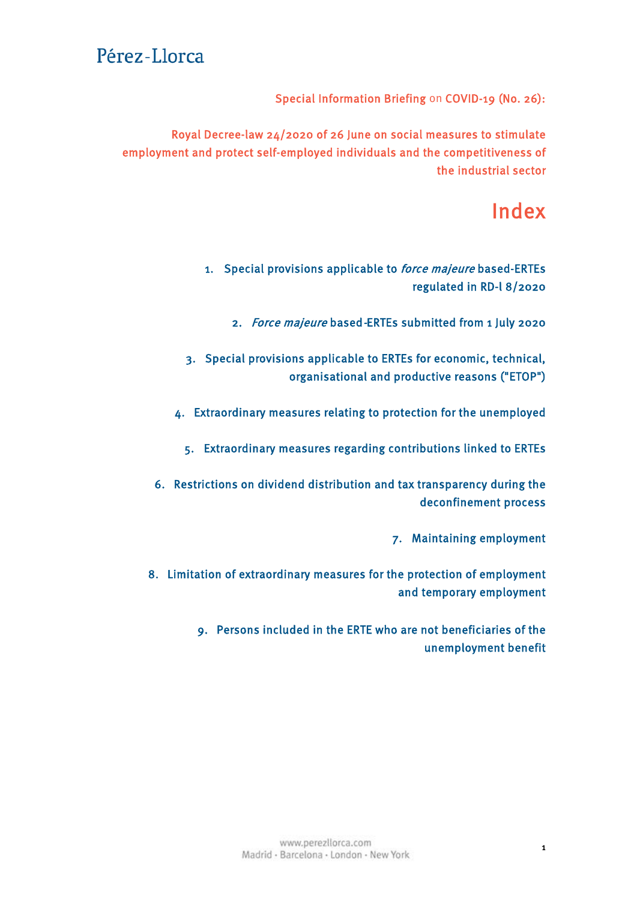Special Information Briefing on COVID-19 (No. 26):

Royal Decree-law 24/2020 of 26 June on social measures to stimulate employment and protect self-employed individuals and the competitiveness of the industrial sector

# Index

1. [Special provisions applicable to](#page-1-0) *force majeure* based-ERTEs regulated in RD-l 8/2020

2. Force majeure based-[ERTEs submitted from 1 July 2020](#page-2-0)

3. [Special provisions applicable to ERTEs for economic, technical,](#page-2-0) organisational and productive reasons ("ETOP")

4. [Extraordinary measures relating to protection for the unemployed](#page-2-0)

5. [Extraordinary measures regarding contributions linked to ERTEs](#page-3-0)

6. [Restrictions on dividend distribution and tax transparency during the](#page-4-0) deconfinement process

7. [Maintaining employment](#page-5-0)

8. [Limitation of extraordinary measures for the protection of employment](#page-5-0) and temporary employment

> 9. [Persons included in the ERTE who are not beneficiaries of the](#page-5-0) unemployment benefit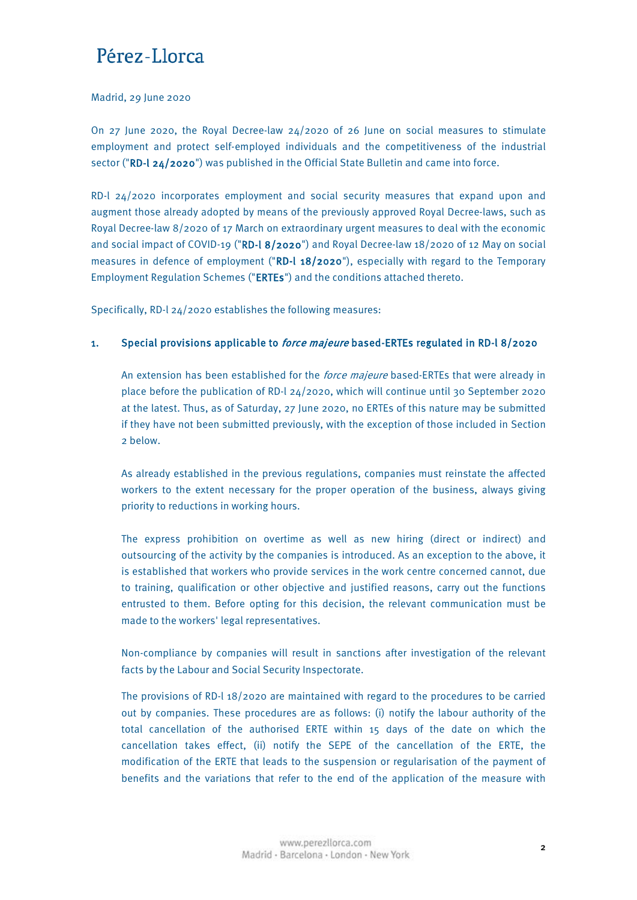#### <span id="page-1-0"></span>Madrid, 29 June 2020

On 27 June 2020, the Royal Decree-law  $24/2020$  of 26 June on social measures to stimulate employment and protect self-employed individuals and the competitiveness of the industrial sector ("RD-l 24/2020") was published in the Official State Bulletin and came into force.

RD-l 24/2020 incorporates employment and social security measures that expand upon and augment those already adopted by means of the previously approved Royal Decree-laws, such as Royal Decree-law 8/2020 of 17 March on extraordinary urgent measures to deal with the economic and social impact of COVID-19 ("RD-l 8/2020") and Royal Decree-law 18/2020 of 12 May on social measures in defence of employment ("RD-l 18/2020"), especially with regard to the Temporary Employment Regulation Schemes ("ERTEs") and the conditions attached thereto.

Specifically, RD-l 24/2020 establishes the following measures:

### 1. Special provisions applicable to *force majeure* based-ERTEs regulated in RD-l 8/2020

An extension has been established for the *force majeure* based-ERTEs that were already in place before the publication of RD-l 24/2020, which will continue until 30 September 2020 at the latest. Thus, as of Saturday, 27 June 2020, no ERTEs of this nature may be submitted if they have not been submitted previously, with the exception of those included in Section 2 below.

As already established in the previous regulations, companies must reinstate the affected workers to the extent necessary for the proper operation of the business, always giving priority to reductions in working hours.

The express prohibition on overtime as well as new hiring (direct or indirect) and outsourcing of the activity by the companies is introduced. As an exception to the above, it is established that workers who provide services in the work centre concerned cannot, due to training, qualification or other objective and justified reasons, carry out the functions entrusted to them. Before opting for this decision, the relevant communication must be made to the workers' legal representatives.

Non-compliance by companies will result in sanctions after investigation of the relevant facts by the Labour and Social Security Inspectorate.

The provisions of RD-l 18/2020 are maintained with regard to the procedures to be carried out by companies. These procedures are as follows: (i) notify the labour authority of the total cancellation of the authorised ERTE within 15 days of the date on which the cancellation takes effect, (ii) notify the SEPE of the cancellation of the ERTE, the modification of the ERTE that leads to the suspension or regularisation of the payment of benefits and the variations that refer to the end of the application of the measure with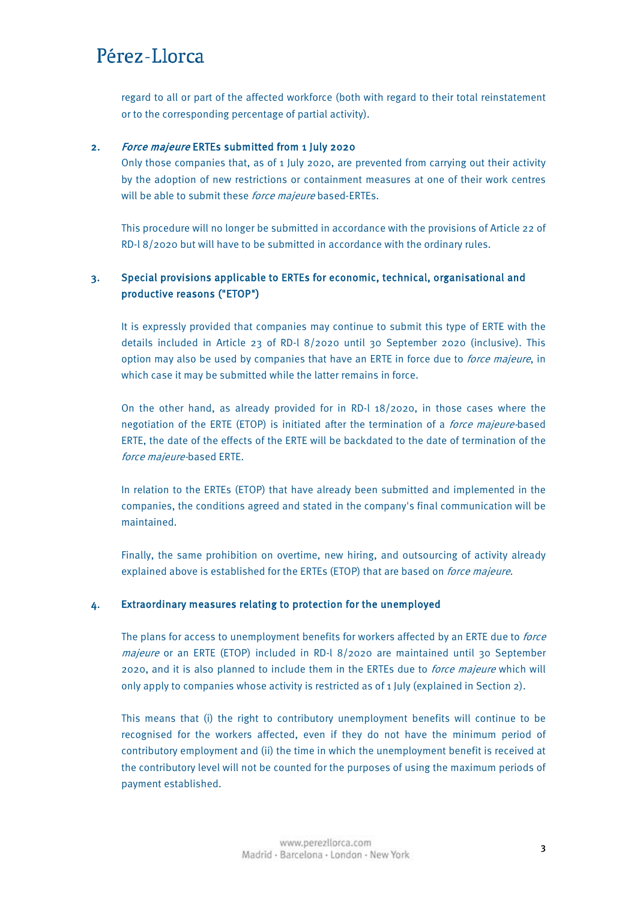<span id="page-2-0"></span>regard to all or part of the affected workforce (both with regard to their total reinstatement or to the corresponding percentage of partial activity).

### 2. Force majeure ERTEs submitted from 1 July 2020

Only those companies that, as of 1 July 2020, are prevented from carrying out their activity by the adoption of new restrictions or containment measures at one of their work centres will be able to submit these *force majeure* based-ERTEs.

This procedure will no longer be submitted in accordance with the provisions of Article 22 of RD-l 8/2020 but will have to be submitted in accordance with the ordinary rules.

## 3. Special provisions applicable to ERTEs for economic, technical, organisational and productive reasons ("ETOP")

It is expressly provided that companies may continue to submit this type of ERTE with the details included in Article 23 of RD-l 8/2020 until 30 September 2020 (inclusive). This option may also be used by companies that have an ERTE in force due to *force majeure*, in which case it may be submitted while the latter remains in force.

On the other hand, as already provided for in RD-l 18/2020, in those cases where the negotiation of the ERTE (ETOP) is initiated after the termination of a *force majeure-based* ERTE, the date of the effects of the ERTE will be backdated to the date of termination of the force majeure-based ERTE.

In relation to the ERTEs (ETOP) that have already been submitted and implemented in the companies, the conditions agreed and stated in the company's final communication will be maintained.

Finally, the same prohibition on overtime, new hiring, and outsourcing of activity already explained above is established for the ERTEs (ETOP) that are based on force majeure.

#### 4. Extraordinary measures relating to protection for the unemployed

The plans for access to unemployment benefits for workers affected by an ERTE due to *force* majeure or an ERTE (ETOP) included in RD-l 8/2020 are maintained until 30 September 2020, and it is also planned to include them in the ERTEs due to force majeure which will only apply to companies whose activity is restricted as of 1 July (explained in Section 2).

This means that (i) the right to contributory unemployment benefits will continue to be recognised for the workers affected, even if they do not have the minimum period of contributory employment and (ii) the time in which the unemployment benefit is received at the contributory level will not be counted for the purposes of using the maximum periods of payment established.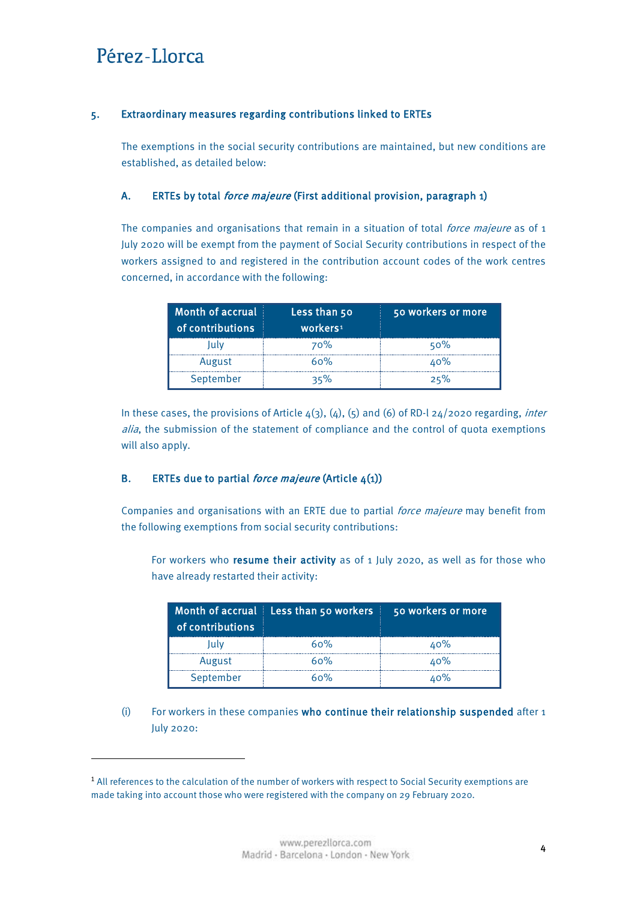**.** 

### <span id="page-3-0"></span>5. Extraordinary measures regarding contributions linked to ERTEs

The exemptions in the social security contributions are maintained, but new conditions are established, as detailed below:

### A. ERTEs by total *force majeure* (First additional provision, paragraph 1)

The companies and organisations that remain in a situation of total *force majeure* as of 1 July 2020 will be exempt from the payment of Social Security contributions in respect of the workers assigned to and registered in the contribution account codes of the work centres concerned, in accordance with the following:

| Month of accrual<br>of contributions | Less than 50<br>workers <sup>1</sup> | 50 workers or more |
|--------------------------------------|--------------------------------------|--------------------|
| lulv                                 | <b>70%</b>                           | 50%                |
| August                               | 60%                                  | 40%                |
| September                            | 35%                                  | 25%                |

In these cases, the provisions of Article  $4(3)$ ,  $(4)$ ,  $(5)$  and  $(6)$  of RD-l 24/2020 regarding, *inter* alia, the submission of the statement of compliance and the control of quota exemptions will also apply.

### B. ERTEs due to partial *force majeure* (Article  $4(1)$ )

Companies and organisations with an ERTE due to partial *force majeure* may benefit from the following exemptions from social security contributions:

For workers who resume their activity as of 1 July 2020, as well as for those who have already restarted their activity:

| of contributions | Month of accrual Less than 50 workers | 50 workers or more |
|------------------|---------------------------------------|--------------------|
| ,ulv             | 60%                                   | 40%                |
| August           | 60%                                   | 40%                |
| September        | 60%                                   | ٬۵%                |

(i) For workers in these companies who continue their relationship suspended after 1 July 2020:

<span id="page-3-1"></span><sup>&</sup>lt;sup>1</sup> All references to the calculation of the number of workers with respect to Social Security exemptions are made taking into account those who were registered with the company on 29 February 2020.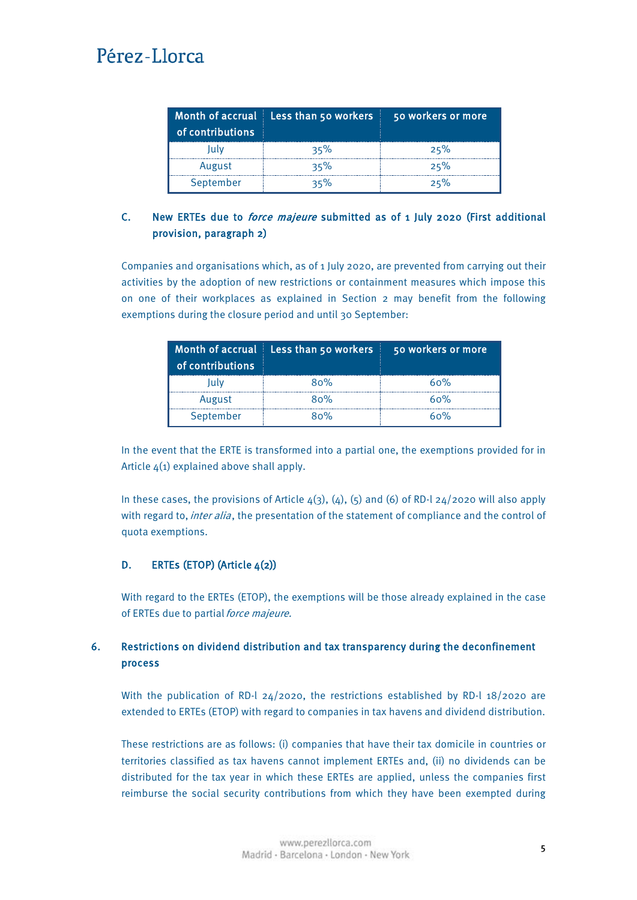<span id="page-4-0"></span>

| Month of accrual<br>of contributions | Less than 50 workers | 50 workers or more |
|--------------------------------------|----------------------|--------------------|
| lulv                                 | 35%                  | 25%                |
| August                               | 35%                  | 25%                |
| September                            | $35\%$               | 25%                |

## C. New ERTEs due to *force majeure* submitted as of 1 July 2020 (First additional provision, paragraph 2)

Companies and organisations which, as of 1 July 2020, are prevented from carrying out their activities by the adoption of new restrictions or containment measures which impose this on one of their workplaces as explained in Section 2 may benefit from the following exemptions during the closure period and until 30 September:

| of contributions | Month of accrual Less than 50 workers | 50 workers or more |
|------------------|---------------------------------------|--------------------|
| lulv             | 80%                                   | 60%                |
| August           | 80%                                   | 60%                |
| September        | 80%                                   | 60%                |

In the event that the ERTE is transformed into a partial one, the exemptions provided for in Article 4(1) explained above shall apply.

In these cases, the provisions of Article  $4(3)$ ,  $(4)$ ,  $(5)$  and  $(6)$  of RD-l 24/2020 will also apply with regard to, inter alia, the presentation of the statement of compliance and the control of quota exemptions.

### D. ERTES (ETOP) (Article  $4(2)$ )

With regard to the ERTEs (ETOP), the exemptions will be those already explained in the case of ERTEs due to partial force majeure.

## 6. Restrictions on dividend distribution and tax transparency during the deconfinement process

With the publication of RD-l  $24/2020$ , the restrictions established by RD-l  $18/2020$  are extended to ERTEs (ETOP) with regard to companies in tax havens and dividend distribution.

These restrictions are as follows: (i) companies that have their tax domicile in countries or territories classified as tax havens cannot implement ERTEs and, (ii) no dividends can be distributed for the tax year in which these ERTEs are applied, unless the companies first reimburse the social security contributions from which they have been exempted during